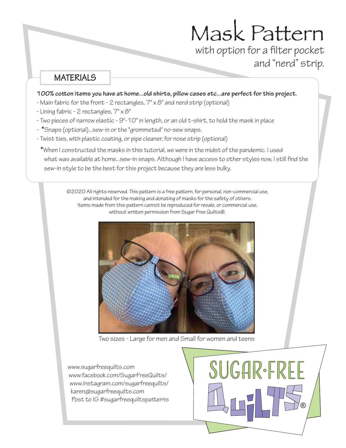# Mask Pattern with option for a filter pocket and "nerd" strip.

**MATERIALS** 

#### 100% cotton items you have at home...old shirts, pillow cases etc...are perfect for this project.

- Main fabric for the front 2 rectangles, 7" x 8" and nerd strip (optional)
- Lining fabric 2 rectangles, 7" x 8"
- Two pieces of narrow elastic 9"-10" in length, or an old t-shirt, to hold the mask in place
- **\***Snaps (optional)...sew-in or the "grommeted" no-sew snaps.
- Twist ties, with plastic coating, or pipe cleaner, for nose strip (optional)

 **\***When I constructed the masks in this tutorial, we were in the midst of the pandemic. I used what was available at home...sew-in snaps. Although I have access to other styles now, I still find the sew-in style to be the best for this project because they are less bulky.

©2020 All rights reserved. This pattern is a free pattern, for personal, non-commercial use, and intended for the making and donating of masks for the safety of others. Items made from this pattern cannot be reproduced for resale, or commercial use, without written permission from Sugar Free Quilts®.



Two sizes - Large for men and Small for women and teens

www.sugarfreequilts.com www.facebook.com/SugarFreeQuilts/ www.instagram.com/sugarfreequilts/ karen@sugarfreequilts.com Post to  $IG$  #sugarfreequiltspatterns

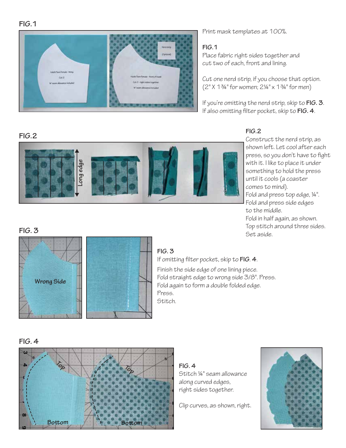

Print mask templates at 100%.

### **FIG.1**

Place fabric right sides together and cut two of each, front and lining.

Cut one nerd strip, if you choose that option. (2" X 1¾" for women; 2¼" x 1¾" for men)

If you're omitting the nerd strip, skip to **FIG. 3**. If also omitting filter pocket, skip to FIG. 4.

# **FIG.2**



## **FIG.2**

Construct the nerd strip, as shown left. Let cool after each press, so you don't have to fight with it. I like to place it under something to hold the press until it cools (a coaster comes to mind). Fold and press top edge, ¼". Fold and press side edges to the middle.

Fold in half again, as shown. Top stitch around three sides. Set aside.

# **FIG. 3**



## **FIG. 3**

If omitting filter pocket, skip to FIG. 4. Finish the side edge of one lining piece. Fold straight edge to wrong side 3/8". Press. Fold again to form a double folded edge. Press. Stitch.

#### **FIG. 4**



**FIG. 4** Stitch ¼" seam allowance along curved edges, right sides together.

Clip curves, as shown, right.

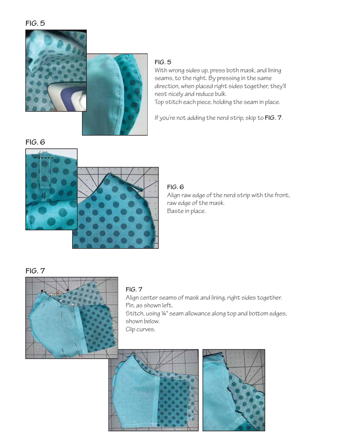

With wrong sides up, press both mask, and lining seams, to the right. By pressing in the same direction, when placed right sides together, they'll nest nicely and reduce bulk. Top stitch each piece, holding the seam in place.

If you're not adding the nerd strip, skip to **FIG. 7**.

**FIG. 6**



**FIG. 6** Align raw edge of the nerd strip with the front, raw edge of the mask. Baste in place.

**FIG. 7**



## **FIG. 7**

Align center seams of mask and lining, right sides together. Pin, as shown left. Stitch, using 14" seam allowance along top and bottom edges, shown below. Clip curves.



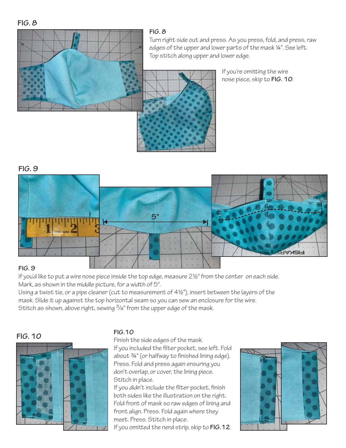

Turn right side out and press. As you press, fold, and press, raw edges of the upper and lower parts of the mask ¼". See left. Top stitch along upper and lower edge.

> If you're omitting the wire nose piece, skip to **FIG. 10**.

## **FIG. 9**



## **FIG. 9**

If you'd like to put a wire nose piece inside the top edge, measure 2½" from the center on each side. Mark, as shown in the middle picture, for a width of 5".

Using a twist tie, or a pipe cleaner (cut to measurement of 4½"), insert between the layers of the mask. Slide it up against the top horizontal seam so you can sew an enclosure for the wire. Stitch as shown, above right, sewing  $\frac{3}{8}$ " from the upper edge of the mask.

## **FIG. 10**



## **FIG.10**

Finish the side edges of the mask. If you included the filter pocket, see left. Fold  $about 34"$  (or halfway to finished lining edge). Press. Fold and press again ensuring you don't overlap, or cover, the lining piece. Stitch in place.

If you didn't include the filter pocket, finish both sides like the illustration on the right. Fold front of mask so raw edges of lining and front align. Press. Fold again where they meet. Press. Stitch in place.

If you omitted the nerd strip, skip to FIG.12.

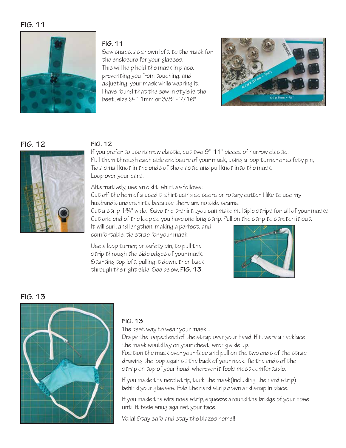

#### **FIG. 11**

Sew snaps, as shown left, to the mask for the enclosure for your glasses. This will help hold the mask in place, preventing you from touching, and adjusting, your mask while wearing it. I have found that the sew in style is the best, size 9-11mm or 3/8" - 7/16".



## **FIG. 12**



## **FIG. 12**

If you prefer to use narrow elastic, cut two 9"-11" pieces of narrow elastic. Pull them through each side enclosure of your mask, using a loop turner or safety pin, Tie a small knot in the ends of the elastic and pull knot into the mask. Loop over your ears.

Alternatively, use an old t-shirt as follows:

Cut off the hem of a used t-shirt using scissors or rotary cutter. I like to use my husband's undershirts because there are no side seams.

Cut a strip 1¾" wide. Save the t-shirt...you can make multiple strips for all of your masks. Cut one end of the loop so you have one long strip. Pull on the strip to stretch it out.

It will curl, and lengthen, making a perfect, and comfortable, tie strap for your mask.

Use a loop turner, or safety pin, to pull the strip through the side edges of your mask. Starting top left, pulling it down, then back through the right side. See below, **FIG. 13**.



## **FIG. 13**



#### **FIG. 13**

The best way to wear your mask...

Drape the looped end of the strap over your head. If it were a necklace the mask would lay on your chest, wrong side up.

Position the mask over your face and pull on the two ends of the strap, drawing the loop against the back of your neck. Tie the ends of the strap on top of your head, wherever it feels most comfortable.

If you made the nerd strip, tuck the mask(including the nerd strip) behind your glasses. Fold the nerd strip down and snap in place.

If you made the wire nose strip, squeeze around the bridge of your nose until it feels snug against your face.

Voila! Stay safe and stay the blazes home!!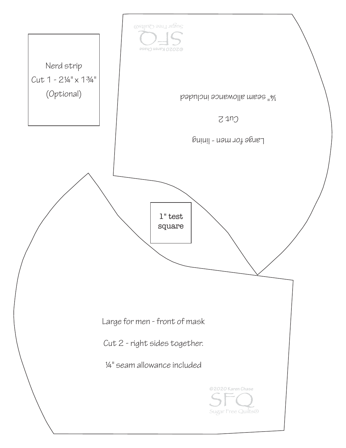